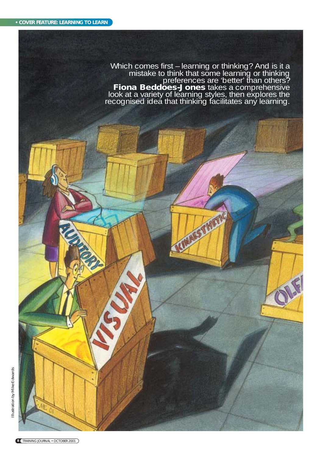Which comes first – learning or thinking? And is it a<br>mistake to think that some learning or thinking<br>preferences are 'better' than others?<br>**Fiona Beddoes-Jones** takes a comprehensive<br>look at a variety of learning styles, recognised idea that thinking facilitates any learning.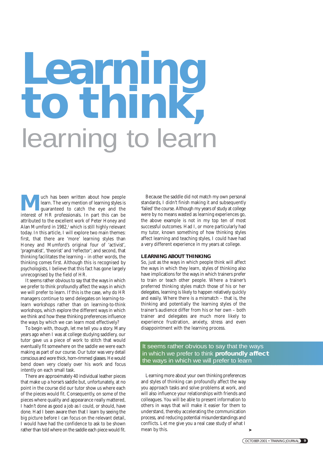# **Learning to think,** learning to learn

**Much has been written about how people**<br>learn. The very mention of learning styles is<br>guaranteed to catch the eye and the<br>interest of HR professionals. In part this can be learn. The very mention of learning styles is interest of HR professionals. In part this can be attributed to the excellent work of Peter Honey and Alan Mumford in 1982,<sup>1</sup> which is still highly relevant today. In this article, I will explore two main themes: first, that there are 'more' learning styles than Honey and Mumford's original four of 'activist', 'pragmatist', 'theorist' and 'reflector'; and second, that thinking facilitates the learning – in other words, the thinking comes first. Although this is recognised by psychologists, I believe that this fact has gone largely unrecognised by the field of HR.

It seems rather obvious to say that the ways in which we prefer to think profoundly affect the ways in which we will prefer to learn. If this is the case, why do HR managers continue to send delegates on learning-tolearn workshops rather than on learning-to-think workshops, which explore the different ways in which we think and how these thinking preferences influence the ways by which we can learn most effectively?

To begin with, though, let me tell you a story. Many years ago when I was at college studying saddlery, our tutor gave us a piece of work to stitch that would eventually fit somewhere on the saddle we were each making as part of our course. Our tutor was very detail conscious and wore thick, horn-rimmed glasses. He would bend down very closely over his work and focus intently on each small task.

There are approximately 40 individual leather pieces that make up a horse's saddle but, unfortunately, at no point in the course did our tutor show us where each of the pieces would fit. Consequently, on some of the pieces where quality and appearance really mattered, I hadn't done as good a job as I could, or should, have done. Had I been aware then that I learn by seeing the big picture before I can focus on the relevant detail, I would have had the confidence to ask to be shown rather than told where on the saddle each piece would fit.

Because the saddle did not match my own personal standards, I didn't finish making it and subsequently 'failed' the course. Although my years of study at college were by no means wasted as learning experiences go, the above example is not in my top ten of most successful outcomes. Had I, or more particularly had my tutor, known something of how thinking styles affect learning and teaching styles, I could have had a very different experience in my years at college.

### **LEARNING ABOUT THINKING**

So, just as the ways in which people think will affect the ways in which they learn, styles of thinking also have implications for the ways in which trainers prefer to train or teach other people. Where a trainer's preferred thinking styles match those of his or her delegates, learning is likely to happen relatively quickly and easily. Where there is a mismatch – that is, the thinking and potentially the learning styles of the trainer's audience differ from his or her own – both trainer and delegates are much more likely to experience frustration, anxiety, stress and even disappointment with the learning process.

It seems rather obvious to say that the ways in which we prefer to think **profoundly affect** the ways in which we will prefer to learn

Learning more about your own thinking preferences and styles of thinking can profoundly affect the way you approach tasks and solve problems at work, and will also influence your relationships with friends and colleagues. You will be able to present information to others in ways that will make it easier for them to understand, thereby accelerating the communication process, and reducing potential misunderstandings and conflicts. Let me give you a real case study of what I mean by this.

➤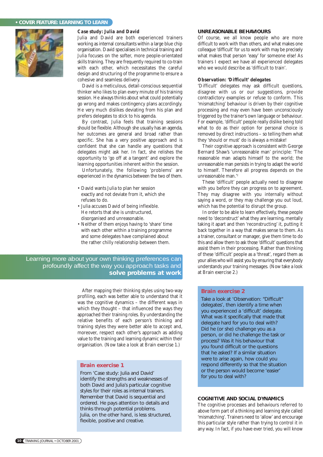### **• COVER FEATURE: LEARNING TO LEARN**



### *Case study: Julia and David*

Julia and David are both experienced trainers working as internal consultants within a large blue chip organisation. David specialises in technical training and Julia focuses on the softer, more people-orientated skills training. They are frequently required to co-train with each other, which necessitates the careful design and structuring of the programme to ensure a cohesive and seamless delivery.

David is a meticulous, detail-conscious sequential thinker who likes to plan every minute of his training session. He always thinks about what could potentially go wrong and makes contingency plans accordingly. He very much dislikes deviating from his plan and prefers delegates to stick to his agenda.

By contrast, Julia feels that training sessions should be flexible. Although she usually has an agenda, her outcomes are general and broad rather than specific. She has a very positive approach and is confident that she can handle any questions that delegates might ask her. In fact, she relishes the opportunity to 'go off at a tangent' and explore the learning opportunities inherent within the session.

Unfortunately, the following 'problems' are experienced in the dynamics between the two of them.

- David wants Julia to plan her session exactly and not deviate from it, which she refuses to do.
- Julia accuses David of being inflexible. He retorts that she is unstructured, disorganised and unreasonable.
- Neither of them enjoys having to 'share' time with each other within a training programme and some delegates have complained about the rather chilly relationship between them.

Learning more about your own thinking preferences can profoundly affect the way you approach tasks and **solve problems at work**

> After mapping their thinking styles using two-way profiling, each was better able to understand that it was the cognitive dynamics – the different ways in which they thought – that influenced the ways they approached their training roles. By understanding the relative benefits of each person's thinking and training styles they were better able to accept and, moreover, respect each other's approach as adding value to the training and learning dynamic within their organisation. (Now take a look at Brain exercise 1.)

### **Brain exercise 1**

From 'Case study: Julia and David' identify the strengths and weaknesses of both David and Julia's particular cognitive styles for their roles as internal trainers. Remember that David is sequential and ordered. He pays attention to details and thinks through potential problems. Julia, on the other hand, is less structured, flexible, positive and creative.

### **UNREASONABLE BEHAVIOURS**

Of course, we all know people who are more difficult to work with than others, and what makes one colleague 'difficult' for us to work with may be precisely what makes that person 'easy' for someone else! As trainers I expect we have all experienced delegates who we would describe as 'difficult to train'.

### *Observation: 'Difficult' delegates*

'Difficult' delegates may ask difficult questions, disagree with us or our suggestions, provide contradictory examples or refuse to conform. This 'mismatching' behaviour is driven by their cognitive processing and may even have been unconsciously triggered by the trainer's own language or behaviour. For example, 'difficult' people really dislike being told what to do as their option for personal choice is removed by direct instructions – so telling them what they 'should or must' do is always a mistake!

Their cognitive approach is consistent with George Bernard Shaw's 'unreasonable man' principle: 'The reasonable man adapts himself to the world; the unreasonable man persists in trying to adapt the world to himself. Therefore all progress depends on the unreasonable man.'2

These 'difficult' people actually need to disagree with you before they can progress on to agreement. They may disagree with you internally without saying a word, or they may challenge you out loud, which has the potential to disrupt the group.

In order to be able to learn effectively, these people need to 'deconstruct' what they are learning, mentally taking it apart and then 'reconstructing' it, putting it back together in a way that makes sense to them. As a trainer, consultant or manager, give them time to do this and allow them to ask those 'difficult' questions that assist them in their processing. Rather than thinking of these 'difficult' people as a 'threat', regard them as your allies who will assist you by ensuring that everybody understands your training messages. (Now take a look at Brain exercise 2.)

### **Brain exercise 2**

**Take a look at 'Observation: "Difficult"** delegates', then identify a time when you experienced a 'difficult' delegate. What was it specifically that made that delegate hard for you to deal with? Did he (or she) challenge you as a person, or did he challenge the task or process? Was it his behaviour that you found difficult or the questions that he asked? If a similar situation were to arise again, how could you respond differently so that the situation or the person would become 'easier' for you to deal with?

### **COGNITIVE AND SOCIAL DYNAMICS**

The cognitive processes and behaviours referred to above form part of a thinking and learning style called 'mismatching'. Trainers need to 'allow' and encourage this particular style rather than trying to control it in any way. In fact, if you have ever tried, you will know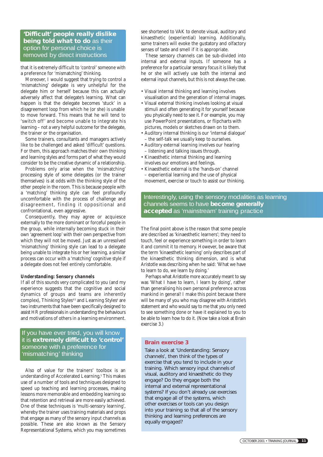**'Difficult' people really dislike being told what to do** as their option for personal choice is removed by direct instructions

that it is extremely difficult to 'control' someone with a preference for 'mismatching' thinking.

Moreover, I would suggest that trying to control a 'mismatching' delegate is very unhelpful for the delegate him or herself because this can actually adversely affect that delegate's learning. What can happen is that the delegate becomes 'stuck' in a disagreement loop from which he (or she) is unable to move forward. This means that he will tend to 'switch off' and become unable to integrate his learning – not a very helpful outcome for the delegate, the trainer or the organisation.

Some trainers, consultants and managers actively like to be challenged and asked 'difficult' questions. For them, this approach matches their own thinking and learning styles and forms part of what they would consider to be the creative dynamic of a relationship.

Problems only arise when the 'mismatching' processing style of some delegates (or the trainer themselves) is at odds with the thinking style of the other people in the room. This is because people with a 'matching' thinking style can feel profoundly uncomfortable with the process of challenge and disagreement, finding it oppositional and confrontational, even aggressive.

Consequently, they may agree or acquiesce externally to the more dominant or forceful people in the group, while internally becoming stuck in their own 'agreement loop' with their own perspective from which they will not be moved. Just as an unresolved 'mismatching' thinking style can lead to a delegate being unable to integrate his or her learning, a similar process can occur with a 'matching' cognitive style if a delegate does not feel entirely comfortable.

## *Understanding: Sensory channels*

If all of this sounds very complicated to you (and my experience suggests that the cognitive and social dynamics of groups and teams are inherently complex), Thinking Styles<sup>®3</sup> and Learning Styles<sup>4</sup> are two instruments that have been specifically designed to assist HR professionals in understanding the behaviours and motivations of others in a learning environment.

If you have ever tried, you will know it is **extremely difficult to 'control'** someone with a preference for 'mismatching' thinking

Also of value for the trainers' toolbox is an understanding of Accelerated Learning.<sup>5</sup> This makes use of a number of tools and techniques designed to speed up teaching and learning processes, making lessons more memorable and embedding learning so that retention and retrieval are more easily achieved. One of these techniques is 'multi-sensory learning', whereby the trainer uses training materials and props that engage as many of the sensory input channels as possible. These are also known as the Sensory Representational Systems, which you may sometimes

see shortened to VAK to denote visual, auditory and kinaesthetic (experiential) learning. Additionally, some trainers will evoke the gustatory and olfactory senses of taste and smell if it is appropriate.

These sensory channels can be sub-divided into internal and external inputs. If someone has a preference for a particular sensory focus it is likely that he or she will actively use both the internal and external input channels, but this is not always the case.

- Visual internal thinking and learning involves visualisation and the generation of internal images.
- Visual external thinking involves looking at visual stimuli and often generating it for yourself because you physically need to see it. For example, you may use PowerPoint presentations, or flipcharts with pictures, models or sketches drawn on to them.
- Auditory internal thinking is our 'internal dialogue' – the self-talk we usually keep to ourselves.
- Auditory external learning involves our hearing – listening and talking issues through.
- Kinaesthetic internal thinking and learning involves our emotions and feelings.
- Kinaesthetic external is the 'hands-on' channel – experiential learning and the use of physical movement, exercise or touch to assist our thinking.

# Interestingly, using the sensory modalities as learning channels seems to have **become generally accepted** as 'mainstream' training practice

The final point above is the reason that some people are described as 'kinaesthetic learners'; they need to touch, feel or experience something in order to learn it and commit it to memory. However, be aware that the term 'kinaesthetic learning' only describes part of the kinaesthetic thinking dimension, and is what Aristotle was describing when he said: 'What we have to learn to do, we learn by doing.'

Perhaps what Aristotle more accurately meant to say was 'What I have to learn, I learn by doing', rather than generalising his own personal preference across mankind in general! I make this point because there will be many of you who may disagree with Aristotle's statement and who would say to me that you only need to see something done or have it explained to you to be able to learn how to do it. (Now take a look at Brain exercise 3.)

### **Brain exercise 3**

Take a look at 'Understanding: Sensory channels', then think of the types of exercise that you tend to include in your training. Which sensory input channels of visual, auditory and kinaesthetic do they engage? Do they engage both the internal and external representational systems? If you don't already use exercises that engage all of the systems, which other exercises or tools can you design into your training so that all of the sensory thinking and learning preferences are equally engaged?